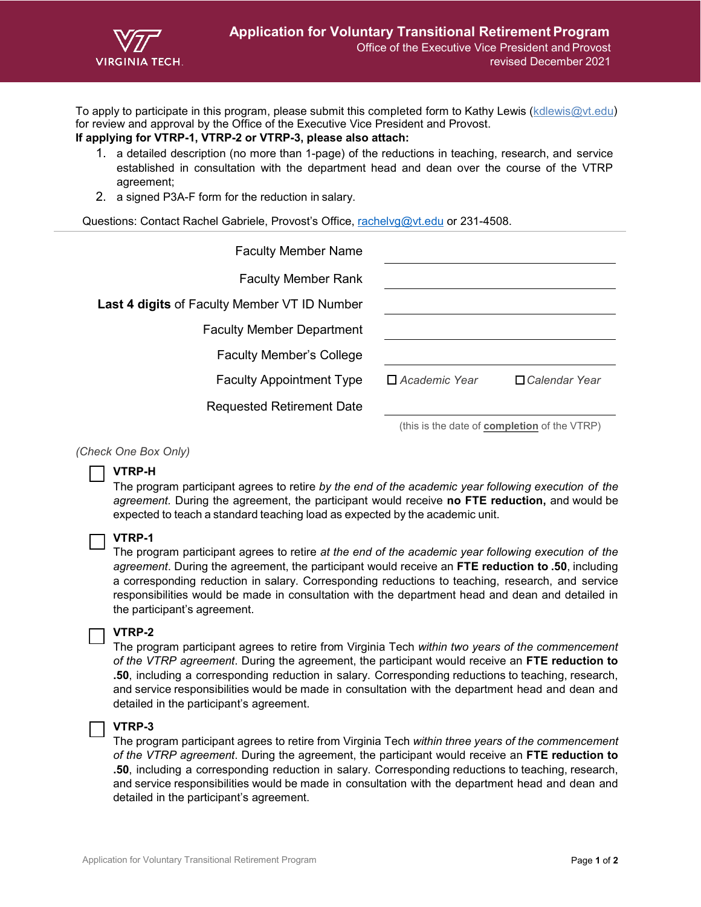

To apply to participate in this program, please submit this completed form to Kathy Lewis [\(kdlewis@vt.edu\)](mailto:kdlewis@vt.edu) for review and approval by the Office of the Executive Vice President and Provost.

# **If applying for VTRP-1, VTRP-2 or VTRP-3, please also attach:**

- 1. a detailed description (no more than 1-page) of the reductions in teaching, research, and service established in consultation with the department head and dean over the course of the VTRP agreement;
- 2. a signed P3A-F form for the reduction in salary.

Questions: Contact Rachel Gabriele, Provost's Office, [rachelvg@vt.edu](mailto:rachelvg@vt.edu) or 231-4508.

| <b>Faculty Member Name</b>                          |                                                                                                                                                                                                                                                                                                                 |                      |
|-----------------------------------------------------|-----------------------------------------------------------------------------------------------------------------------------------------------------------------------------------------------------------------------------------------------------------------------------------------------------------------|----------------------|
| <b>Faculty Member Rank</b>                          |                                                                                                                                                                                                                                                                                                                 |                      |
| <b>Last 4 digits of Faculty Member VT ID Number</b> |                                                                                                                                                                                                                                                                                                                 |                      |
| <b>Faculty Member Department</b>                    |                                                                                                                                                                                                                                                                                                                 |                      |
| <b>Faculty Member's College</b>                     |                                                                                                                                                                                                                                                                                                                 |                      |
| <b>Faculty Appointment Type</b>                     | $\Box$ Academic Year                                                                                                                                                                                                                                                                                            | $\Box$ Calendar Year |
| <b>Requested Retirement Date</b>                    |                                                                                                                                                                                                                                                                                                                 |                      |
|                                                     | $\frac{1}{2}$ $\frac{1}{2}$ $\frac{1}{2}$ $\frac{1}{2}$ $\frac{1}{2}$ $\frac{1}{2}$ $\frac{1}{2}$ $\frac{1}{2}$ $\frac{1}{2}$ $\frac{1}{2}$ $\frac{1}{2}$ $\frac{1}{2}$ $\frac{1}{2}$ $\frac{1}{2}$ $\frac{1}{2}$ $\frac{1}{2}$ $\frac{1}{2}$ $\frac{1}{2}$ $\frac{1}{2}$ $\frac{1}{2}$ $\frac{1}{2}$ $\frac{1$ |                      |

(this is the date of **completion** of the VTRP)

#### *(Check One Box Only)*

## **VTRP-H**

The program participant agrees to retire *by the end of the academic year following execution of the agreement.* During the agreement, the participant would receive **no FTE reduction,** and would be expected to teach a standard teaching load as expected by the academic unit.

#### **VTRP-1**

The program participant agrees to retire *at the end of the academic year following execution of the agreement*. During the agreement, the participant would receive an **FTE reduction to .50**, including a corresponding reduction in salary. Corresponding reductions to teaching, research, and service responsibilities would be made in consultation with the department head and dean and detailed in the participant's agreement.

## **VTRP-2**

The program participant agrees to retire from Virginia Tech *within two years of the commencement of the VTRP agreement*. During the agreement, the participant would receive an **FTE reduction to .50**, including a corresponding reduction in salary. Corresponding reductions to teaching, research, and service responsibilities would be made in consultation with the department head and dean and detailed in the participant's agreement.

### **VTRP-3**

The program participant agrees to retire from Virginia Tech *within three years of the commencement of the VTRP agreement*. During the agreement, the participant would receive an **FTE reduction to .50**, including a corresponding reduction in salary. Corresponding reductions to teaching, research, and service responsibilities would be made in consultation with the department head and dean and detailed in the participant's agreement.